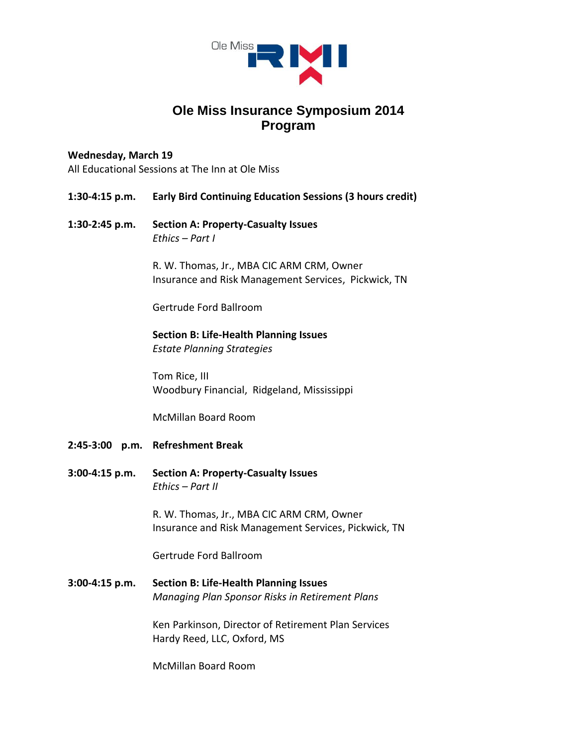

# **Ole Miss Insurance Symposium 2014 Program**

## **Wednesday, March 19**

All Educational Sessions at The Inn at Ole Miss

**1:30-4:15 p.m. Early Bird Continuing Education Sessions (3 hours credit)**

# **1:30-2:45 p.m. Section A: Property-Casualty Issues** *Ethics – Part I*

R. W. Thomas, Jr., MBA CIC ARM CRM, Owner Insurance and Risk Management Services, Pickwick, TN

Gertrude Ford Ballroom

# **Section B: Life-Health Planning Issues**

*Estate Planning Strategies*

Tom Rice, III Woodbury Financial, Ridgeland, Mississippi

McMillan Board Room

- **2:45-3:00 p.m. Refreshment Break**
- **3:00-4:15 p.m. Section A: Property-Casualty Issues** *Ethics – Part II*

R. W. Thomas, Jr., MBA CIC ARM CRM, Owner Insurance and Risk Management Services, Pickwick, TN

Gertrude Ford Ballroom

**3:00-4:15 p.m. Section B: Life-Health Planning Issues** *Managing Plan Sponsor Risks in Retirement Plans*

> Ken Parkinson, Director of Retirement Plan Services Hardy Reed, LLC, Oxford, MS

McMillan Board Room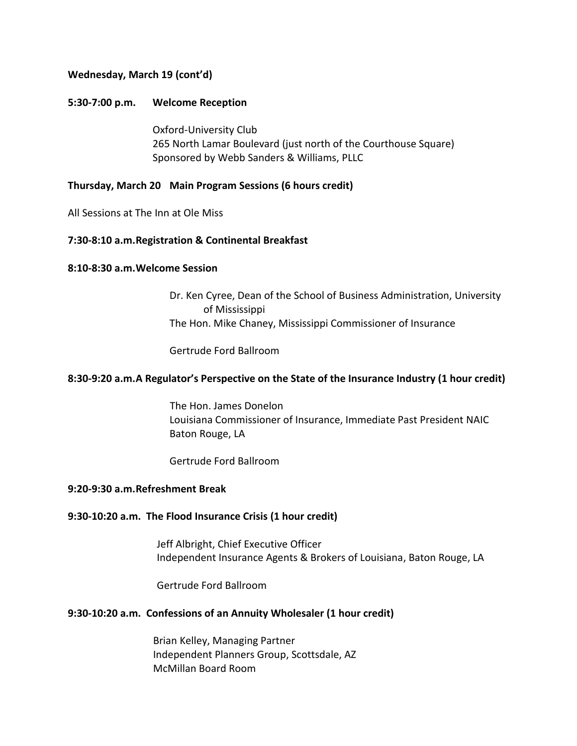#### **Wednesday, March 19 (cont'd)**

#### **5:30-7:00 p.m. Welcome Reception**

Oxford-University Club 265 North Lamar Boulevard (just north of the Courthouse Square) Sponsored by Webb Sanders & Williams, PLLC

#### **Thursday, March 20 Main Program Sessions (6 hours credit)**

All Sessions at The Inn at Ole Miss

#### **7:30-8:10 a.m.Registration & Continental Breakfast**

#### **8:10-8:30 a.m.Welcome Session**

Dr. Ken Cyree, Dean of the School of Business Administration, University of Mississippi The Hon. Mike Chaney, Mississippi Commissioner of Insurance

Gertrude Ford Ballroom

#### **8:30-9:20 a.m.A Regulator's Perspective on the State of the Insurance Industry (1 hour credit)**

 The Hon. James Donelon Louisiana Commissioner of Insurance, Immediate Past President NAIC Baton Rouge, LA

Gertrude Ford Ballroom

## **9:20-9:30 a.m.Refreshment Break**

#### **9:30-10:20 a.m. The Flood Insurance Crisis (1 hour credit)**

Jeff Albright, Chief Executive Officer Independent Insurance Agents & Brokers of Louisiana, Baton Rouge, LA

Gertrude Ford Ballroom

#### **9:30-10:20 a.m. Confessions of an Annuity Wholesaler (1 hour credit)**

Brian Kelley, Managing Partner Independent Planners Group, Scottsdale, AZ McMillan Board Room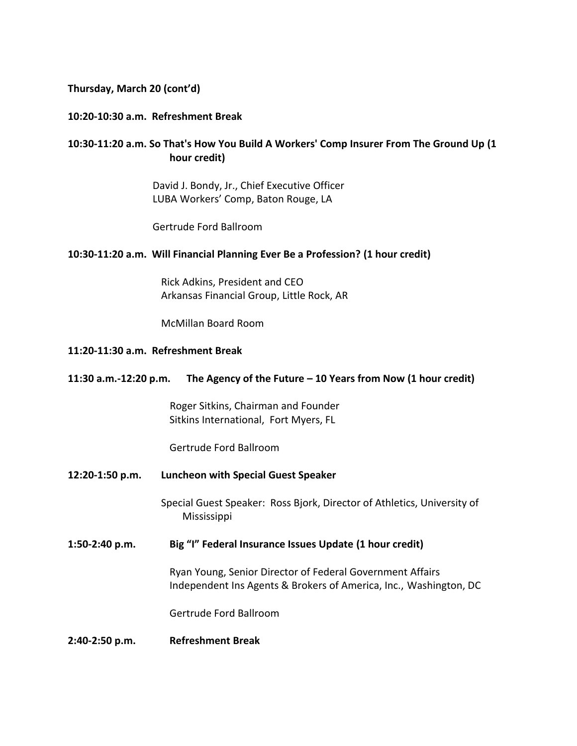#### **Thursday, March 20 (cont'd)**

#### **10:20-10:30 a.m. Refreshment Break**

# **10:30-11:20 a.m. So That's How You Build A Workers' Comp Insurer From The Ground Up (1 hour credit)**

David J. Bondy, Jr., Chief Executive Officer LUBA Workers' Comp, Baton Rouge, LA

Gertrude Ford Ballroom

#### **10:30-11:20 a.m. Will Financial Planning Ever Be a Profession? (1 hour credit)**

Rick Adkins, President and CEO Arkansas Financial Group, Little Rock, AR

McMillan Board Room

#### **11:20-11:30 a.m. Refreshment Break**

#### **11:30 a.m.-12:20 p.m. The Agency of the Future – 10 Years from Now (1 hour credit)**

 Roger Sitkins, Chairman and Founder Sitkins International, Fort Myers, FL

Gertrude Ford Ballroom

**12:20-1:50 p.m. Luncheon with Special Guest Speaker**

Special Guest Speaker: Ross Bjork, Director of Athletics, University of Mississippi

#### **1:50-2:40 p.m. Big "I" Federal Insurance Issues Update (1 hour credit)**

Ryan Young, Senior Director of Federal Government Affairs Independent Ins Agents & Brokers of America, Inc., Washington, DC

Gertrude Ford Ballroom

**2:40-2:50 p.m. Refreshment Break**